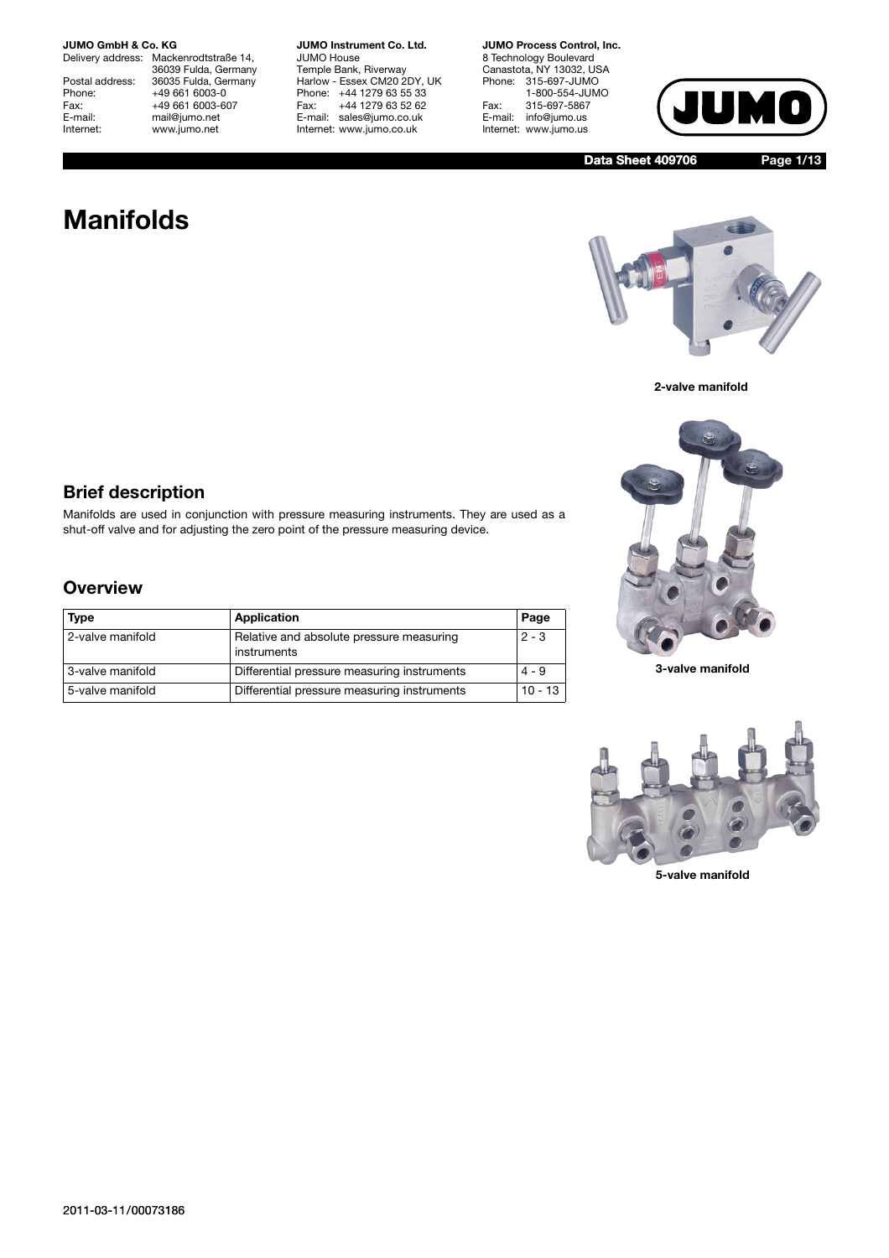Delivery address: Mackenrodtstraße 14, 36039 Fulda, Germany Postal address: 36035 Fulda, Germany<br>Phone: +49 661 6003-0 Phone: +49 661 6003-0<br>Fax: +49 661 6003-6 Fax: +49 661 6003-607<br>
E-mail: +49 661 6003-607 E-mail: mail@jumo.net<br>
Internet: www.jumo.net www.jumo.net

**JUMO Instrument Co. Ltd.** JUMO House Temple Bank, Riverway Harlow - Essex CM20 2DY, UK Phone: +44 1279 63 55 33<br>Fax: +44 1279 63 52 62 Fax: +44 1279 63 52 62 E-mail: sales@jumo.co.uk Internet: www.jumo.co.uk

**JUMO Process Control, Inc.**

8 Technology Boulevard Canastota, NY 13032, USA Phone: 315-697-JUMO 1-800-554-JUMO Fax: 315-697-5867<br>E-mail: info@jumo.us info@jumo.us Internet: www.jumo.us



**Data Sheet 409706 Page 1/13**

# **Manifolds**







**3-valve manifold**



**5-valve manifold**

### **Brief description**

Manifolds are used in conjunction with pressure measuring instruments. They are used as a shut-off valve and for adjusting the zero point of the pressure measuring device.

### **Overview**

| <b>Type</b>      | Application                                             | Page      |
|------------------|---------------------------------------------------------|-----------|
| 2-valve manifold | Relative and absolute pressure measuring<br>instruments | $2 - 3$   |
| 3-valve manifold | Differential pressure measuring instruments             | $4 - 9$   |
| 5-valve manifold | Differential pressure measuring instruments             | $10 - 13$ |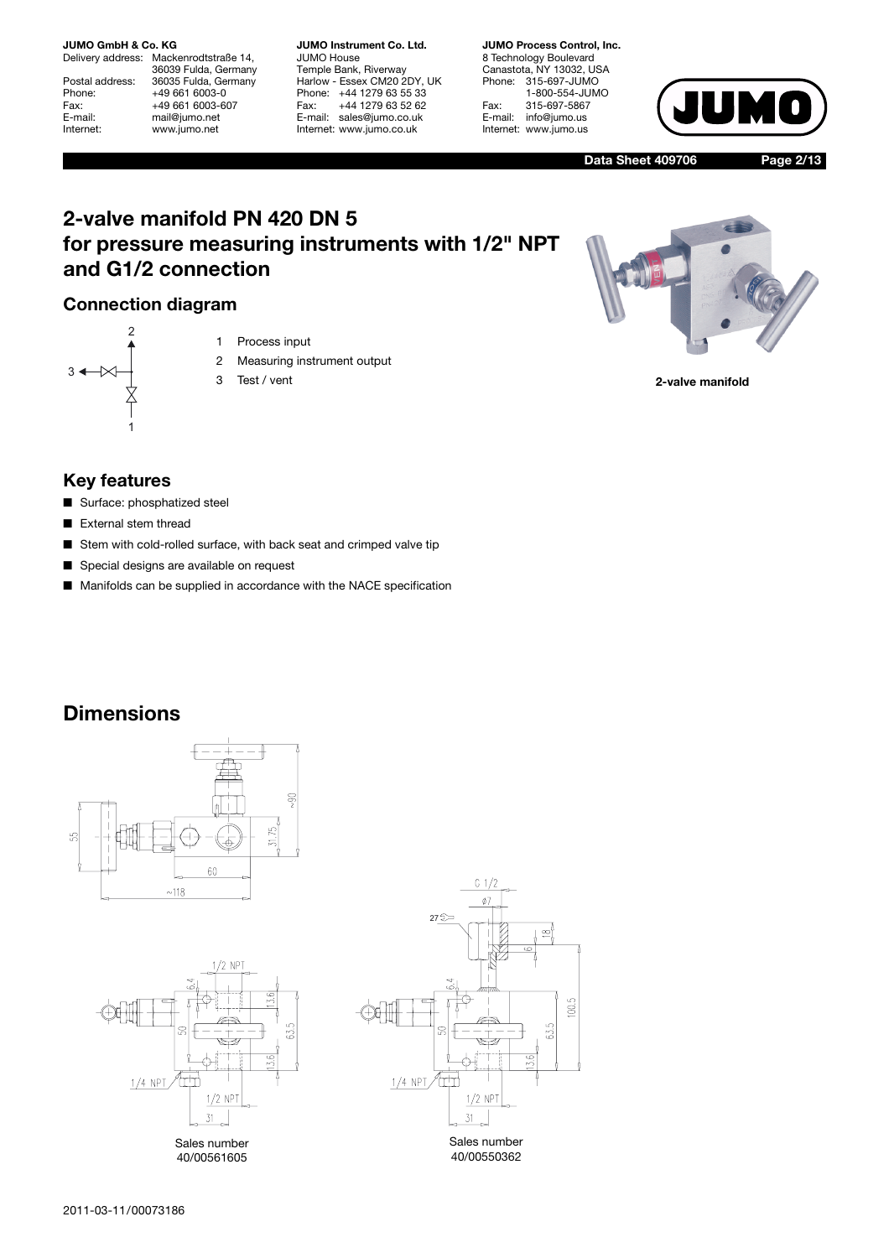Delivery address: Mackenrodtstraße 14, 36039 Fulda, Germany Postal address: 36035 Fulda, Germany<br>Phone: +49 661 6003-0 Phone: +49 661 6003-0<br>Fax: +49 661 6003-6 Fax: +49 661 6003-607<br>
E-mail: +49 661 6003-607 E-mail: mail@jumo.net<br>
Internet: www.jumo.net www.jumo.net

**JUMO Instrument Co. Ltd.** JUMO House Temple Bank, Riverway Harlow - Essex CM20 2DY, UK Phone: +44 1279 63 55 33<br>Fax: +44 1279 63 52 62 Fax: +44 1279 63 52 62 E-mail: sales@jumo.co.uk Internet: www.jumo.co.uk

**JUMO Process Control, Inc.** 8 Technology Boulevard Canastota, NY 13032, USA Phone: 315-697-JUMO 1-800-554-JUMO Fax: 315-697-5867<br>E-mail: info@jumo.us info@jumo.us Internet: www.jumo.us



**Data Sheet 409706 Page 2/13**

## **2-valve manifold PN 420 DN 5 for pressure measuring instruments with 1/2" NPT and G1/2 connection**

### **Connection diagram**



- 1 Process input
- 2 Measuring instrument output
- 3 Test / vent

**2-valve manifold**

### **Key features**

- Surface: phosphatized steel
- External stem thread
- Stem with cold-rolled surface, with back seat and crimped valve tip
- Special designs are available on request
- Manifolds can be supplied in accordance with the NACE specification

## **Dimensions**





Sales number 40/00561605

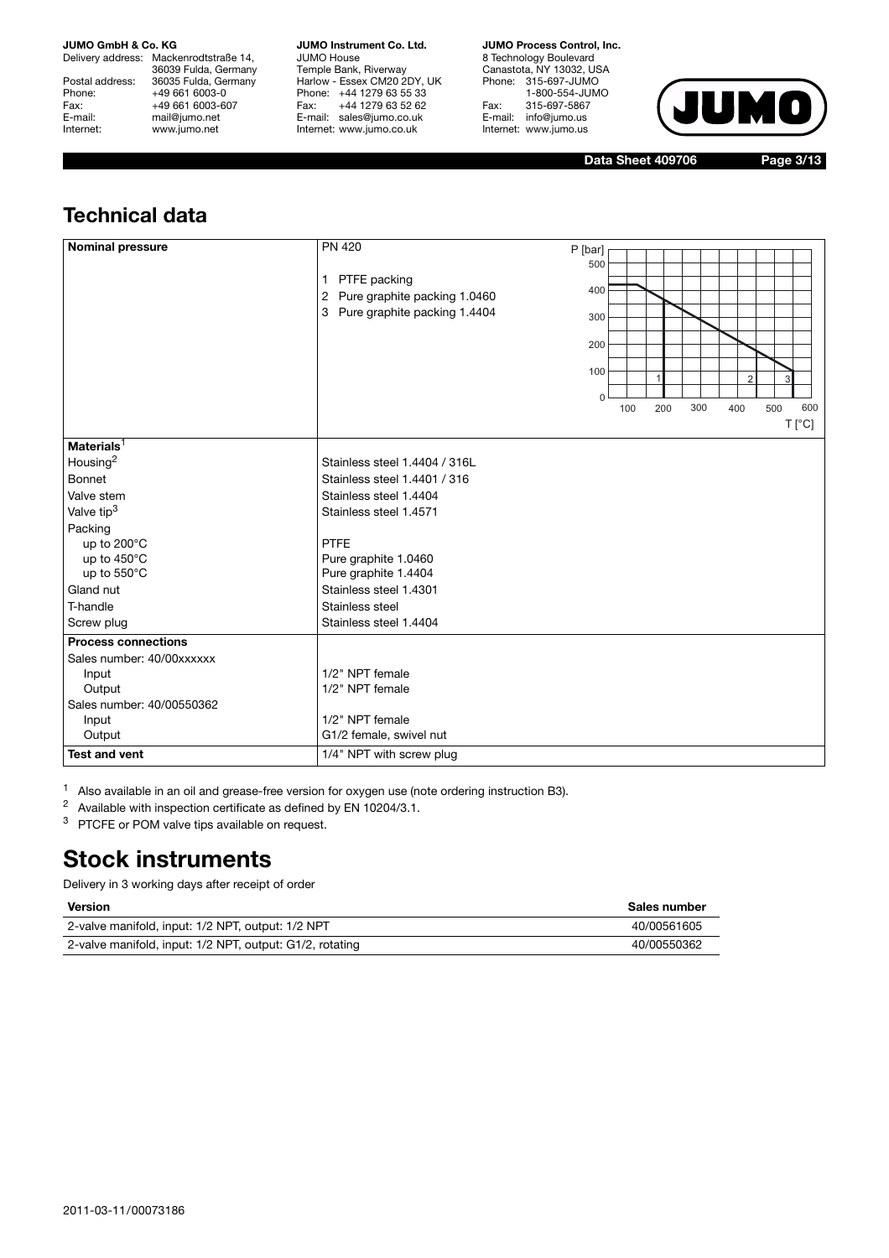Delivery address: Mackenrodtstraße 14, 36039 Fulda, Germany Postal address: 36035 Fulda, Germany<br>Phone: +49 661 6003-0 Phone: +49 661 6003-0<br>Fax: +49 661 6003-6 Fax: +49 661 6003-607<br>
E-mail: +49 661 6003-607 E-mail: mail@jumo.net<br>
Internet: www.jumo.net www.jumo.net

**JUMO Instrument Co. Ltd.** JUMO House Temple Bank, Riverway Harlow - Essex CM20 2DY, UK Phone: +44 1279 63 55 33 Fax: +44 1279 63 52 62 E-mail: sales@jumo.co.uk Internet: www.jumo.co.uk

**JUMO Process Control, Inc.**

8 Technology Boulevard Canastota, NY 13032, USA Phone: 315-697-JUMO 1-800-554-JUMO Fax: 315-697-5867<br>E-mail: info@jumo.us info@jumo.us Internet: www.jumo.us



**Data Sheet 409706 Page 3/13**

## **Technical data**

| <b>Nominal pressure</b>    | <b>PN 420</b>                  | P [bar]  |     |     |     |                |     |                |
|----------------------------|--------------------------------|----------|-----|-----|-----|----------------|-----|----------------|
|                            |                                | 500      |     |     |     |                |     |                |
|                            | PTFE packing<br>1              |          |     |     |     |                |     |                |
|                            | 2 Pure graphite packing 1.0460 | 400      |     |     |     |                |     |                |
|                            | 3 Pure graphite packing 1.4404 | 300      |     |     |     |                |     |                |
|                            |                                |          |     |     |     |                |     |                |
|                            |                                | 200      |     |     |     |                |     |                |
|                            |                                |          |     |     |     |                |     |                |
|                            |                                | 100      |     |     |     | $\overline{2}$ | 3   |                |
|                            |                                | $\Omega$ |     |     |     |                |     |                |
|                            |                                |          | 100 | 200 | 300 | 400            | 500 | 600            |
|                            |                                |          |     |     |     |                |     | $T[^{\circ}C]$ |
| Materials $1$              |                                |          |     |     |     |                |     |                |
| Housing <sup>2</sup>       | Stainless steel 1.4404 / 316L  |          |     |     |     |                |     |                |
| <b>Bonnet</b>              | Stainless steel 1.4401 / 316   |          |     |     |     |                |     |                |
| Valve stem                 | Stainless steel 1.4404         |          |     |     |     |                |     |                |
| Valve tip <sup>3</sup>     | Stainless steel 1.4571         |          |     |     |     |                |     |                |
| Packing                    |                                |          |     |     |     |                |     |                |
| up to 200°C                | <b>PTFE</b>                    |          |     |     |     |                |     |                |
| up to 450°C                | Pure graphite 1.0460           |          |     |     |     |                |     |                |
| up to 550°C                | Pure graphite 1.4404           |          |     |     |     |                |     |                |
| Gland nut                  | Stainless steel 1.4301         |          |     |     |     |                |     |                |
| T-handle                   | Stainless steel                |          |     |     |     |                |     |                |
| Screw plug                 | Stainless steel 1.4404         |          |     |     |     |                |     |                |
| <b>Process connections</b> |                                |          |     |     |     |                |     |                |
| Sales number: 40/00xxxxxx  |                                |          |     |     |     |                |     |                |
| Input                      | 1/2" NPT female                |          |     |     |     |                |     |                |
| Output                     | 1/2" NPT female                |          |     |     |     |                |     |                |
| Sales number: 40/00550362  |                                |          |     |     |     |                |     |                |
| Input                      | 1/2" NPT female                |          |     |     |     |                |     |                |
| Output                     | G1/2 female, swivel nut        |          |     |     |     |                |     |                |
| <b>Test and vent</b>       | 1/4" NPT with screw plug       |          |     |     |     |                |     |                |

<sup>1</sup> Also available in an oil and grease-free version for oxygen use (note ordering instruction B3).

<sup>2</sup> Available with inspection certificate as defined by EN 10204/3.1.

<sup>3</sup> PTCFE or POM valve tips available on request.

## **Stock instruments**

Delivery in 3 working days after receipt of order

#### **Version Sales number**

| .                                                        | ------------- |
|----------------------------------------------------------|---------------|
| 2-valve manifold, input: 1/2 NPT, output: 1/2 NPT        | 40/00561605   |
| 2-valve manifold, input: 1/2 NPT, output: G1/2, rotating | 40/00550362   |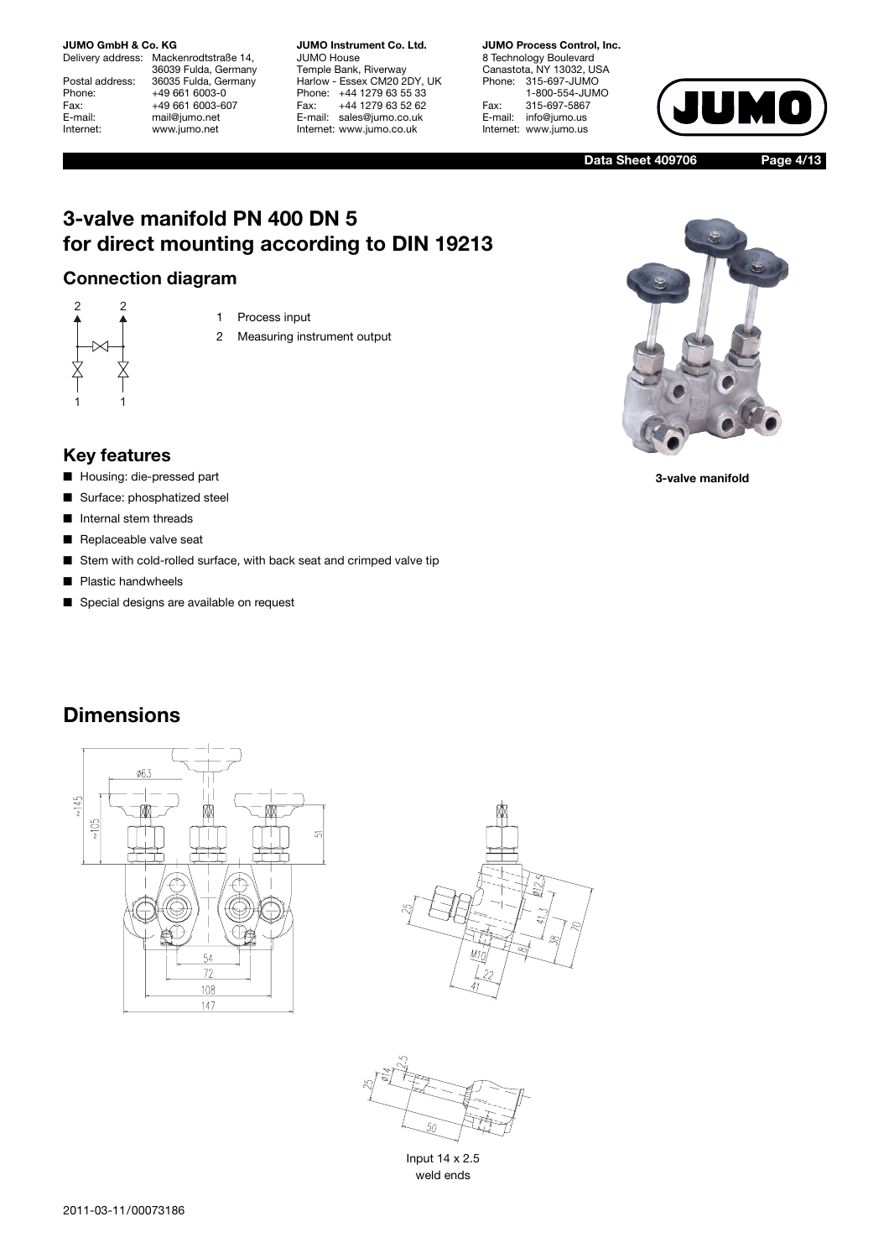Delivery address: Mackenrodtstraße 14, 36039 Fulda, Germany Postal address: 36035 Fulda, Germany<br>Phone: +49 661 6003-0 Phone: +49 661 6003-0<br>Fax: +49 661 6003-6 Fax: +49 661 6003-607<br>
E-mail: +49 661 6003-607 E-mail: mail@jumo.net<br>
Internet: www.jumo.net www.jumo.net

**JUMO Instrument Co. Ltd.** JUMO House Temple Bank, Riverway Harlow - Essex CM20 2DY, UK Phone: +44 1279 63 55 33<br>Fax: +44 1279 63 52 62 Fax: +44 1279 63 52 62 E-mail: sales@jumo.co.uk Internet: www.jumo.co.uk

**JUMO Process Control, Inc.** 8 Technology Boulevard Canastota, NY 13032, USA Phone: 315-697-JUMO 1-800-554-JUMO Fax: 315-697-5867<br>E-mail: info@jumo.us info@jumo.us Internet: www.jumo.us



**Data Sheet 409706 Page 4/13**

## **3-valve manifold PN 400 DN 5 for direct mounting according to DIN 19213**

### **Connection diagram**



- 1 Process input
- 2 Measuring instrument output



**3-valve manifold**

### **Key features**

- Housing: die-pressed part
- Surface: phosphatized steel
- Internal stem threads
- Replaceable valve seat
- Stem with cold-rolled surface, with back seat and crimped valve tip
- Plastic handwheels
- Special designs are available on request







Input 14 x 2.5 weld ends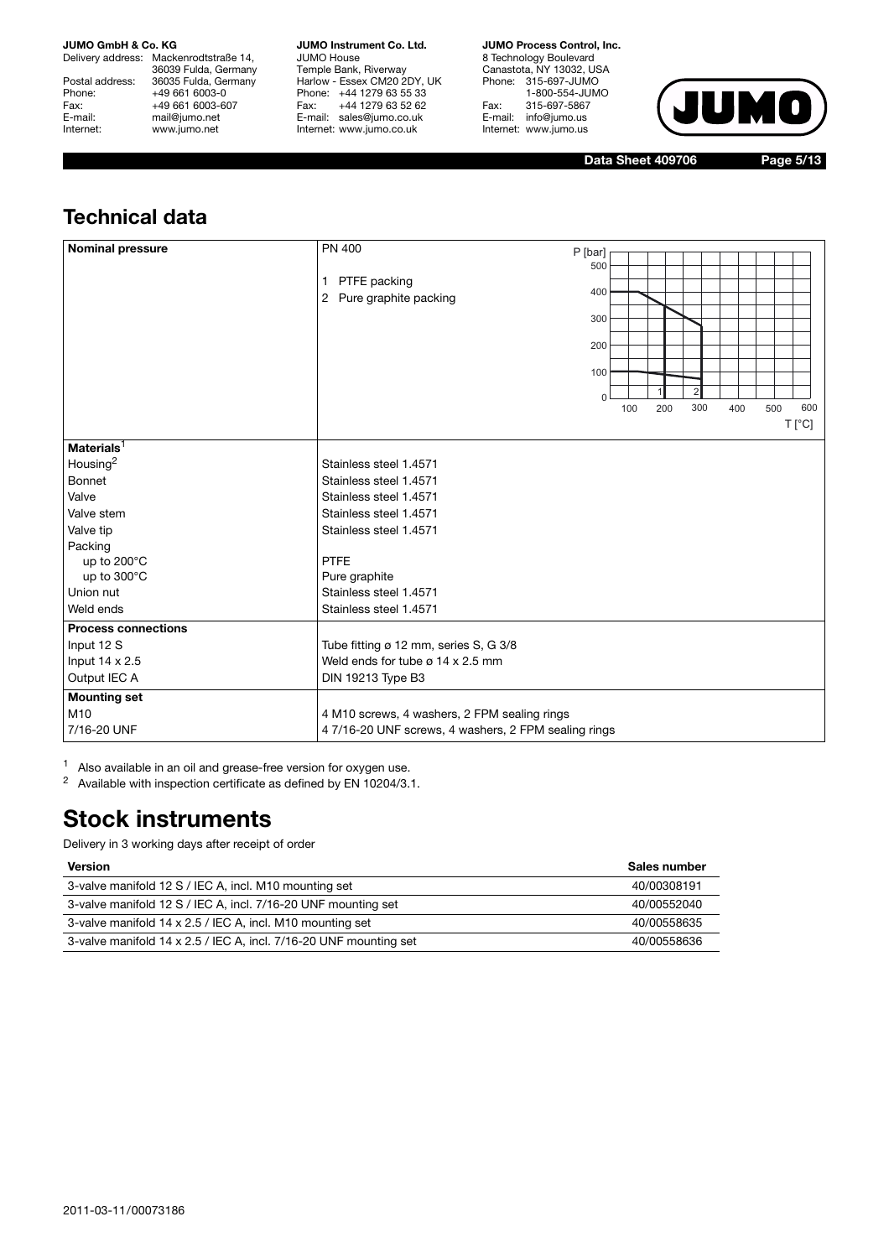Delivery address: Mackenrodtstraße 14, 36039 Fulda, Germany Postal address: 36035 Fulda, Germany<br>Phone: +49 661 6003-0 Phone: +49 661 6003-0<br>Fax: +49 661 6003-6 Fax: +49 661 6003-607<br>E-mail: +49 661 6003-607 E-mail: mail@jumo.net<br>
Internet: www.jumo.net www.jumo.net

**JUMO Instrument Co. Ltd.** JUMO House Temple Bank, Riverway Harlow - Essex CM20 2DY, UK Phone: +44 1279 63 55 33 Fax: +44 1279 63 52 62 E-mail: sales@jumo.co.uk Internet: www.jumo.co.uk

**JUMO Process Control, Inc.**

8 Technology Boulevard Canastota, NY 13032, USA Phone: 315-697-JUMO 1-800-554-JUMO Fax: 315-697-5867 E-mail: info@jumo.us Internet: www.jumo.us



**Data Sheet 409706 Page 5/13**

## **Technical data**

| <b>Nominal pressure</b>    | <b>PN 400</b><br>PTFE packing<br>$\mathbf{1}$<br>2 Pure graphite packing | P [bar]<br>500<br>400<br>300<br>200<br>100<br>$\Omega$ | 100 | 200 | $\overline{2}$<br>300 | 400 | 500 | 600            |
|----------------------------|--------------------------------------------------------------------------|--------------------------------------------------------|-----|-----|-----------------------|-----|-----|----------------|
|                            |                                                                          |                                                        |     |     |                       |     |     | $T[^{\circ}C]$ |
| Materials $1$              |                                                                          |                                                        |     |     |                       |     |     |                |
| Housing <sup>2</sup>       | Stainless steel 1.4571                                                   |                                                        |     |     |                       |     |     |                |
| <b>Bonnet</b>              | Stainless steel 1.4571                                                   |                                                        |     |     |                       |     |     |                |
| Valve                      | Stainless steel 1.4571                                                   |                                                        |     |     |                       |     |     |                |
| Valve stem                 | Stainless steel 1.4571                                                   |                                                        |     |     |                       |     |     |                |
| Valve tip                  | Stainless steel 1.4571                                                   |                                                        |     |     |                       |     |     |                |
| Packing                    |                                                                          |                                                        |     |     |                       |     |     |                |
| up to 200°C                | <b>PTFE</b>                                                              |                                                        |     |     |                       |     |     |                |
| up to 300°C                | Pure graphite                                                            |                                                        |     |     |                       |     |     |                |
| Union nut                  | Stainless steel 1.4571                                                   |                                                        |     |     |                       |     |     |                |
| Weld ends                  | Stainless steel 1.4571                                                   |                                                        |     |     |                       |     |     |                |
| <b>Process connections</b> |                                                                          |                                                        |     |     |                       |     |     |                |
| Input 12 S                 | Tube fitting ø 12 mm, series S, G 3/8                                    |                                                        |     |     |                       |     |     |                |
| Input 14 x 2.5             | Weld ends for tube $\varnothing$ 14 x 2.5 mm                             |                                                        |     |     |                       |     |     |                |
| Output IEC A               | DIN 19213 Type B3                                                        |                                                        |     |     |                       |     |     |                |
| <b>Mounting set</b>        |                                                                          |                                                        |     |     |                       |     |     |                |
| M10                        | 4 M10 screws, 4 washers, 2 FPM sealing rings                             |                                                        |     |     |                       |     |     |                |
| 7/16-20 UNF                | 47/16-20 UNF screws, 4 washers, 2 FPM sealing rings                      |                                                        |     |     |                       |     |     |                |

<sup>1</sup> Also available in an oil and grease-free version for oxygen use.

<sup>2</sup> Available with inspection certificate as defined by EN 10204/3.1.

## **Stock instruments**

| <b>Version</b>                                                    | Sales number |
|-------------------------------------------------------------------|--------------|
| 3-valve manifold 12 S / IEC A, incl. M10 mounting set             | 40/00308191  |
| 3-valve manifold 12 S / IEC A, incl. 7/16-20 UNF mounting set     | 40/00552040  |
| 3-valve manifold 14 x 2.5 / IEC A, incl. M10 mounting set         | 40/00558635  |
| 3-valve manifold 14 x 2.5 / IEC A, incl. 7/16-20 UNF mounting set | 40/00558636  |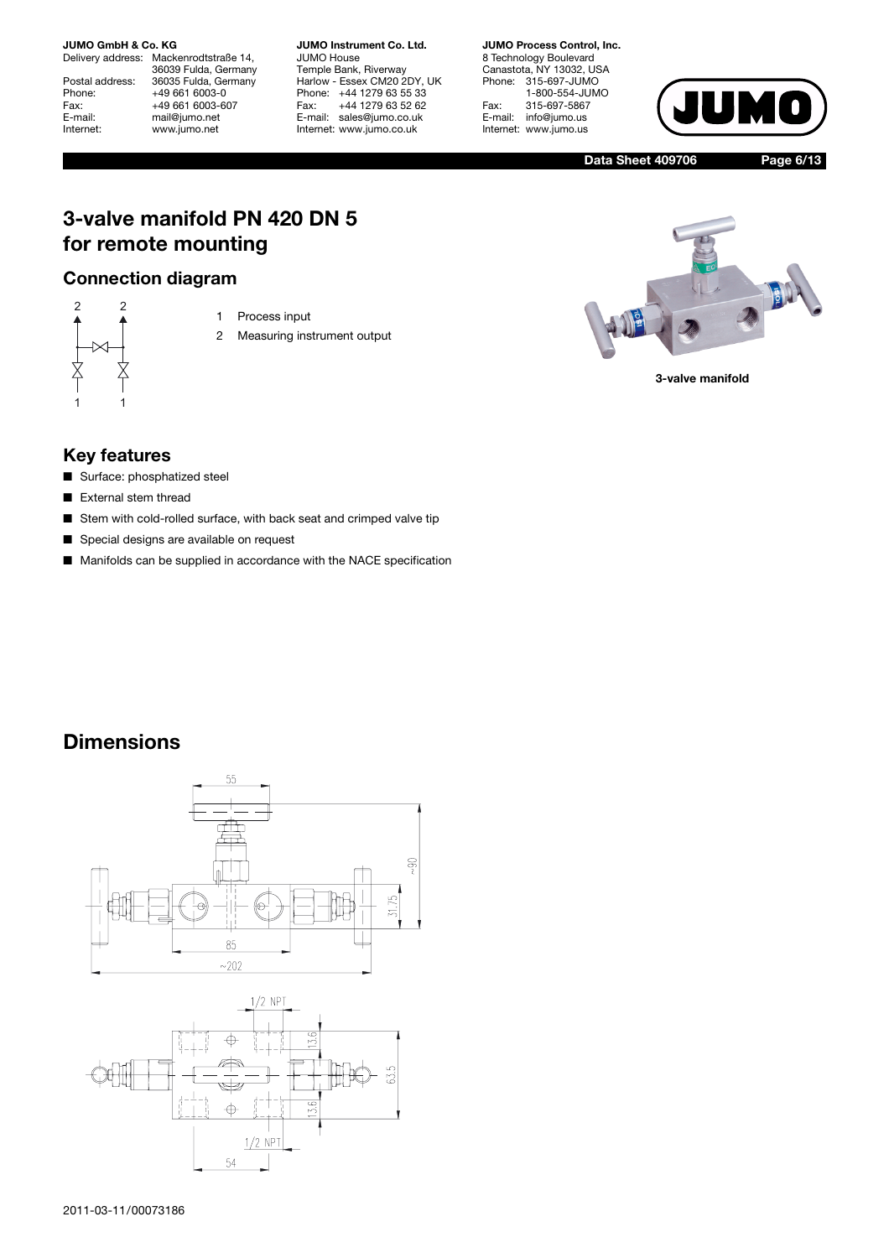Delivery address: Mackenrodtstraße 14, 36039 Fulda, Germany Postal address: 36035 Fulda, Germany<br>Phone: +49 661 6003-0 Phone: +49 661 6003-0<br>Fax: +49 661 6003-6 Fax: +49 661 6003-607<br>
E-mail: +49 661 6003-607 E-mail: mail@jumo.net<br>
Internet: www.jumo.net www.jumo.net

**JUMO Instrument Co. Ltd.** JUMO House Temple Bank, Riverway Harlow - Essex CM20 2DY, UK Phone: +44 1279 63 55 33<br>Fax: +44 1279 63 52 62 Fax: +44 1279 63 52 62 E-mail: sales@jumo.co.uk Internet: www.jumo.co.uk

**JUMO Process Control, Inc.** 8 Technology Boulevard Canastota, NY 13032, USA Phone: 315-697-JUMO 1-800-554-JUMO Fax: 315-697-5867<br>E-mail: info@jumo.us info@jumo.us Internet: www.jumo.us



**Data Sheet 409706 Page 6/13**

## **3-valve manifold PN 420 DN 5 for remote mounting**

### **Connection diagram**



1 Process input

2 Measuring instrument output



**3-valve manifold**

### **Key features**

- Surface: phosphatized steel
- External stem thread
- Stem with cold-rolled surface, with back seat and crimped valve tip
- Special designs are available on request
- Manifolds can be supplied in accordance with the NACE specification



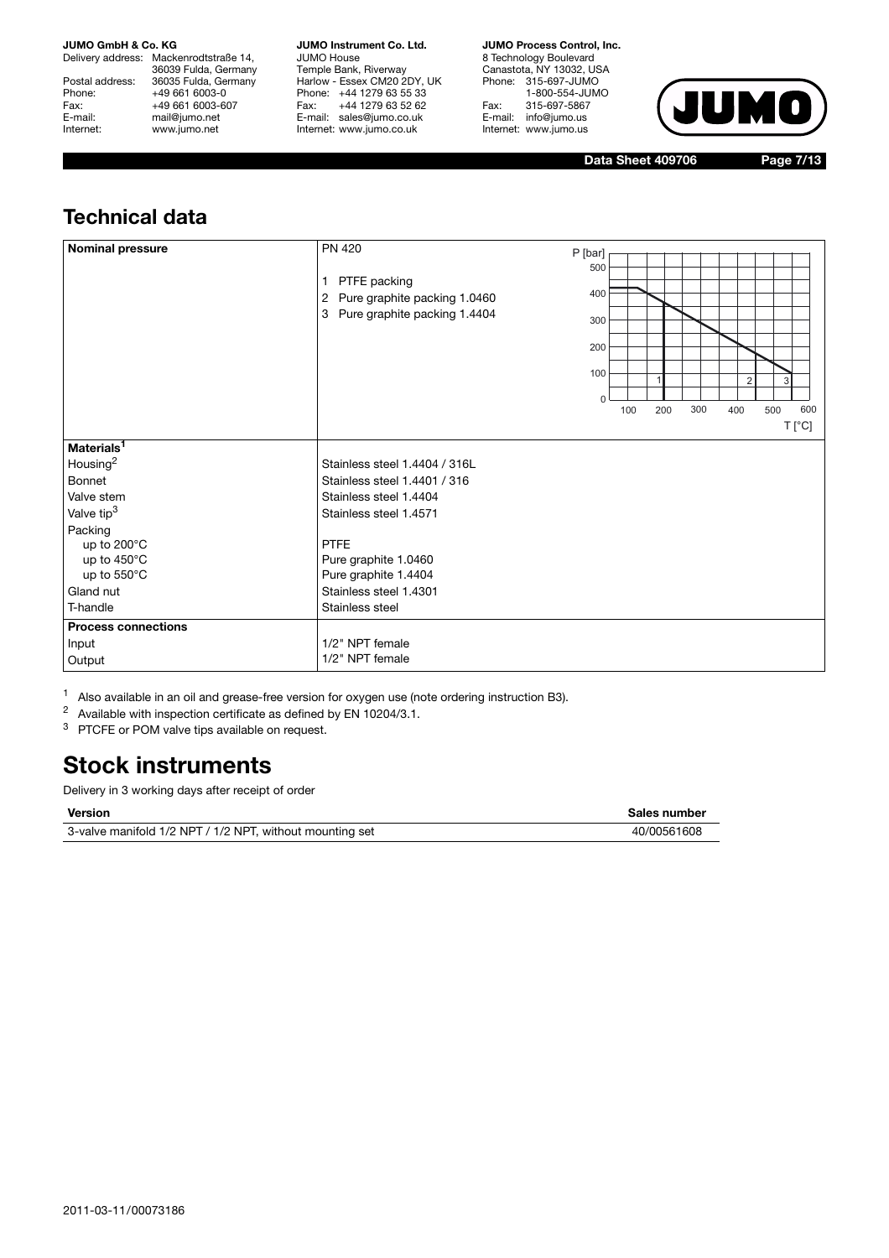Delivery address: Mackenrodtstraße 14, 36039 Fulda, Germany Postal address: 36035 Fulda, Germany<br>Phone: +49 661 6003-0 Phone: +49 661 6003-0<br>Fax: +49 661 6003-6 Fax: +49 661 6003-607<br>
E-mail: +49 661 6003-607 E-mail: mail@jumo.net<br>
Internet: www.jumo.net www.jumo.net

**JUMO Instrument Co. Ltd.** JUMO House Temple Bank, Riverway Harlow - Essex CM20 2DY, UK Phone: +44 1279 63 55 33<br>Fax: +44 1279 63 52 62 Fax: +44 1279 63 52 62 E-mail: sales@jumo.co.uk Internet: www.jumo.co.uk

**JUMO Process Control, Inc.**

8 Technology Boulevard Canastota, NY 13032, USA Phone: 315-697-JUMO 1-800-554-JUMO Fax: 315-697-5867<br>E-mail: info@jumo.us info@jumo.us Internet: www.jumo.us



**Data Sheet 409706 Page 7/13**

## **Technical data**

| <b>Nominal pressure</b>    | PN 420<br>PTFE packing<br>$\mathbf{1}$<br>Pure graphite packing 1.0460<br>2<br>Pure graphite packing 1.4404<br>3 | P [bar]<br>500<br>400<br>300<br>200<br>100<br>$\Omega$ |     |     |     | $\overline{2}$ | 3                            |  |
|----------------------------|------------------------------------------------------------------------------------------------------------------|--------------------------------------------------------|-----|-----|-----|----------------|------------------------------|--|
|                            |                                                                                                                  |                                                        | 100 | 200 | 300 | 400            | 600<br>500<br>$T[^{\circ}C]$ |  |
| Materials <sup>1</sup>     |                                                                                                                  |                                                        |     |     |     |                |                              |  |
| Housing <sup>2</sup>       | Stainless steel 1.4404 / 316L                                                                                    |                                                        |     |     |     |                |                              |  |
| Bonnet                     | Stainless steel 1.4401 / 316                                                                                     |                                                        |     |     |     |                |                              |  |
| Valve stem                 | Stainless steel 1.4404                                                                                           |                                                        |     |     |     |                |                              |  |
| Valve tip <sup>3</sup>     | Stainless steel 1.4571                                                                                           |                                                        |     |     |     |                |                              |  |
| Packing                    |                                                                                                                  |                                                        |     |     |     |                |                              |  |
| up to 200°C                | <b>PTFE</b>                                                                                                      |                                                        |     |     |     |                |                              |  |
| up to $450^{\circ}$ C      | Pure graphite 1.0460                                                                                             |                                                        |     |     |     |                |                              |  |
| up to 550°C                | Pure graphite 1.4404                                                                                             |                                                        |     |     |     |                |                              |  |
| Gland nut                  | Stainless steel 1.4301                                                                                           |                                                        |     |     |     |                |                              |  |
| T-handle                   | Stainless steel                                                                                                  |                                                        |     |     |     |                |                              |  |
| <b>Process connections</b> |                                                                                                                  |                                                        |     |     |     |                |                              |  |
| Input                      | 1/2" NPT female                                                                                                  |                                                        |     |     |     |                |                              |  |
| Output                     | 1/2" NPT female                                                                                                  |                                                        |     |     |     |                |                              |  |

<sup>1</sup> Also available in an oil and grease-free version for oxygen use (note ordering instruction B3).<br><sup>2</sup> Available with inspection certificate as defined by EN 10204/3 1

Available with inspection certificate as defined by EN 10204/3.1.

<sup>3</sup> PTCFE or POM valve tips available on request.

## **Stock instruments**

| Version                                                  | Sales number |
|----------------------------------------------------------|--------------|
| 3-valve manifold 1/2 NPT / 1/2 NPT, without mounting set | 40/00561608  |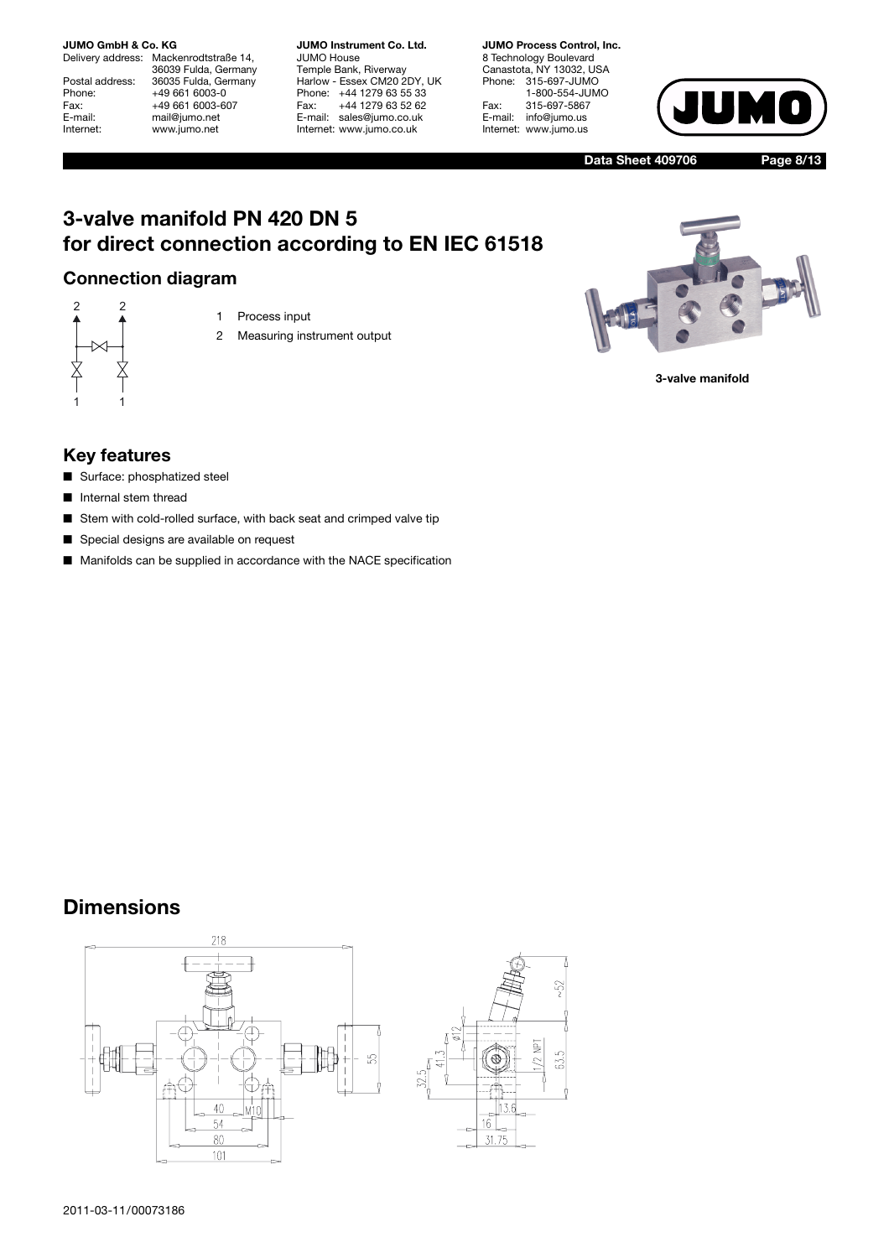Delivery address: Mackenrodtstraße 14, 36039 Fulda, Germany Postal address: 36035 Fulda, Germany<br>Phone: +49 661 6003-0 Phone: +49 661 6003-0<br>Fax: +49 661 6003-6 Fax: +49 661 6003-607<br>
E-mail: +49 661 6003-607 E-mail: mail@jumo.net<br>
Internet: www.jumo.net www.jumo.net

**JUMO Instrument Co. Ltd.** JUMO House Temple Bank, Riverway Harlow - Essex CM20 2DY, UK Phone: +44 1279 63 55 33<br>Fax: +44 1279 63 52 62 Fax: +44 1279 63 52 62 E-mail: sales@jumo.co.uk Internet: www.jumo.co.uk

**JUMO Process Control, Inc.** 8 Technology Boulevard Canastota, NY 13032, USA Phone: 315-697-JUMO 1-800-554-JUMO Fax: 315-697-5867<br>E-mail: info@jumo.us info@jumo.us Internet: www.jumo.us



**Data Sheet 409706 Page 8/13**

## **3-valve manifold PN 420 DN 5 for direct connection according to EN IEC 61518**

### **Connection diagram**



- 1 Process input
- 2 Measuring instrument output



**3-valve manifold**

### **Key features**

- Surface: phosphatized steel
- Internal stem thread
- Stem with cold-rolled surface, with back seat and crimped valve tip
- Special designs are available on request
- Manifolds can be supplied in accordance with the NACE specification



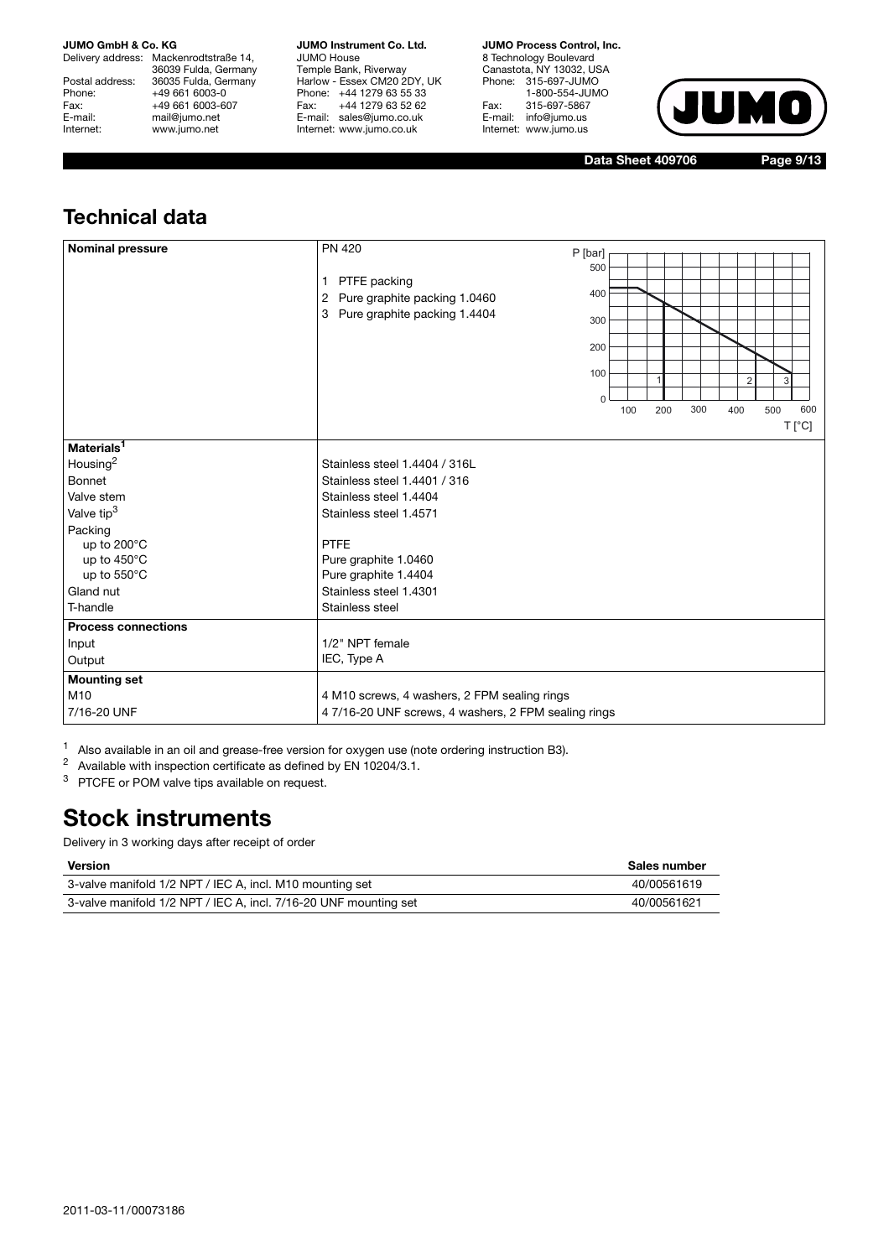Delivery address: Mackenrodtstraße 14, 36039 Fulda, Germany Postal address: 36035 Fulda, Germany<br>Phone: +49 661 6003-0 Phone: +49 661 6003-0<br>Fax: +49 661 6003-6 Fax: +49 661 6003-607<br>
E-mail: +49 661 6003-607 E-mail: mail@jumo.net<br>
Internet: www.jumo.net www.jumo.net

**JUMO Instrument Co. Ltd.** JUMO House Temple Bank, Riverway Harlow - Essex CM20 2DY, UK Phone: +44 1279 63 55 33 Fax: +44 1279 63 52 62 E-mail: sales@jumo.co.uk Internet: www.jumo.co.uk

**JUMO Process Control, Inc.**

8 Technology Boulevard Canastota, NY 13032, USA Phone: 315-697-JUMO 1-800-554-JUMO Fax: 315-697-5867<br>E-mail: info@jumo.us info@jumo.us Internet: www.jumo.us



**Data Sheet 409706 Page 9/13**

## **Technical data**

| <b>Nominal pressure</b>    | <b>PN 420</b><br>P [bar]<br>500<br>PTFE packing<br>1<br>400<br>2 Pure graphite packing 1.0460<br>3 Pure graphite packing 1.4404<br>300<br>200<br>100<br>2<br>U<br>600<br>100<br>200<br>300<br>400<br>500 |
|----------------------------|----------------------------------------------------------------------------------------------------------------------------------------------------------------------------------------------------------|
|                            | $T[^{\circ}C]$                                                                                                                                                                                           |
| Materials <sup>1</sup>     |                                                                                                                                                                                                          |
| Housing <sup>2</sup>       | Stainless steel 1.4404 / 316L                                                                                                                                                                            |
| <b>Bonnet</b>              | Stainless steel 1.4401 / 316                                                                                                                                                                             |
| Valve stem                 | Stainless steel 1.4404                                                                                                                                                                                   |
| Valve tip <sup>3</sup>     | Stainless steel 1.4571                                                                                                                                                                                   |
| Packing                    |                                                                                                                                                                                                          |
| up to 200°C                | <b>PTFE</b>                                                                                                                                                                                              |
| up to 450°C                | Pure graphite 1.0460                                                                                                                                                                                     |
| up to 550°C                | Pure graphite 1.4404                                                                                                                                                                                     |
| Gland nut                  | Stainless steel 1.4301                                                                                                                                                                                   |
| T-handle                   | Stainless steel                                                                                                                                                                                          |
| <b>Process connections</b> |                                                                                                                                                                                                          |
| Input                      | 1/2" NPT female                                                                                                                                                                                          |
| Output                     | IEC, Type A                                                                                                                                                                                              |
| <b>Mounting set</b>        |                                                                                                                                                                                                          |
| M10                        | 4 M10 screws, 4 washers, 2 FPM sealing rings                                                                                                                                                             |
| 7/16-20 UNF                | 47/16-20 UNF screws, 4 washers, 2 FPM sealing rings                                                                                                                                                      |

<sup>1</sup> Also available in an oil and grease-free version for oxygen use (note ordering instruction B3).<br><sup>2</sup> Available with inspection certificate as defined by EN 10204/3.1

<sup>2</sup> Available with inspection certificate as defined by EN 10204/3.1.

<sup>3</sup> PTCFE or POM valve tips available on request.

## **Stock instruments**

| <b>Version</b>                                                   | Sales number |
|------------------------------------------------------------------|--------------|
| 3-valve manifold 1/2 NPT / IEC A, incl. M10 mounting set         | 40/00561619  |
| 3-valve manifold 1/2 NPT / IEC A, incl. 7/16-20 UNF mounting set | 40/00561621  |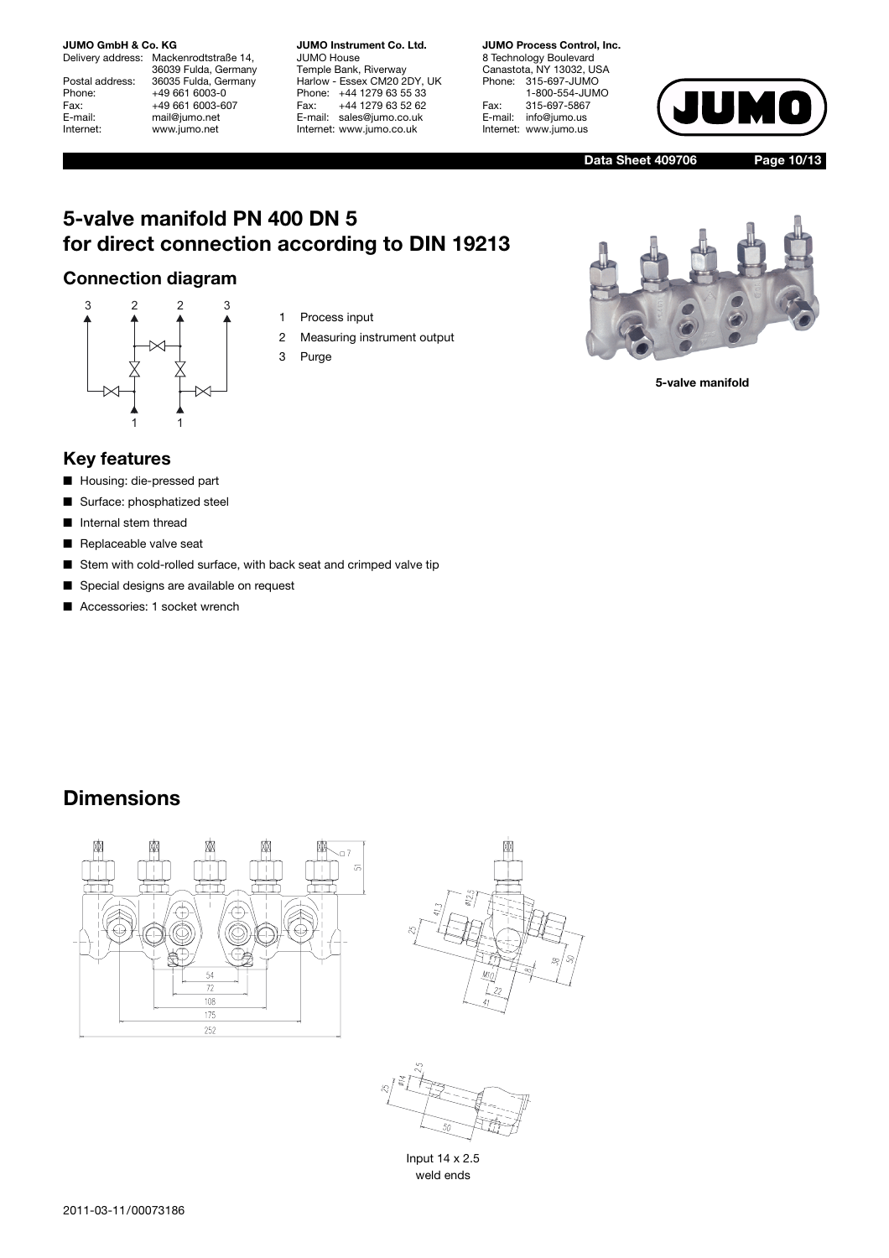Delivery address: Mackenrodtstraße 14, 36039 Fulda, Germany Postal address: 36035 Fulda, Germany<br>Phone: +49 661 6003-0 Phone: +49 661 6003-0<br>Fax: +49 661 6003-6 Fax: +49 661 6003-607<br>
E-mail: +49 661 6003-607 E-mail: mail@jumo.net<br>
Internet: www.jumo.net www.jumo.net

**JUMO Instrument Co. Ltd.** JUMO House Temple Bank, Riverway Harlow - Essex CM20 2DY, UK Phone: +44 1279 63 55 33<br>Fax: +44 1279 63 52 62 Fax: +44 1279 63 52 62 E-mail: sales@jumo.co.uk Internet: www.jumo.co.uk

**JUMO Process Control, Inc.** 8 Technology Boulevard Canastota, NY 13032, USA Phone: 315-697-JUMO 1-800-554-JUMO Fax: 315-697-5867<br>E-mail: info@jumo.us info@jumo.us Internet: www.jumo.us



**Data Sheet 409706 Page 10/13**

## **5-valve manifold PN 400 DN 5 for direct connection according to DIN 19213**

### **Connection diagram**



- 1 Process input
- 2 Measuring instrument output
- 3 Purge



**5-valve manifold**

### **Key features**

- Housing: die-pressed part
- Surface: phosphatized steel
- Internal stem thread
- Replaceable valve seat
- Stem with cold-rolled surface, with back seat and crimped valve tip
- Special designs are available on request
- Accessories: 1 socket wrench







Input 14 x 2.5 weld ends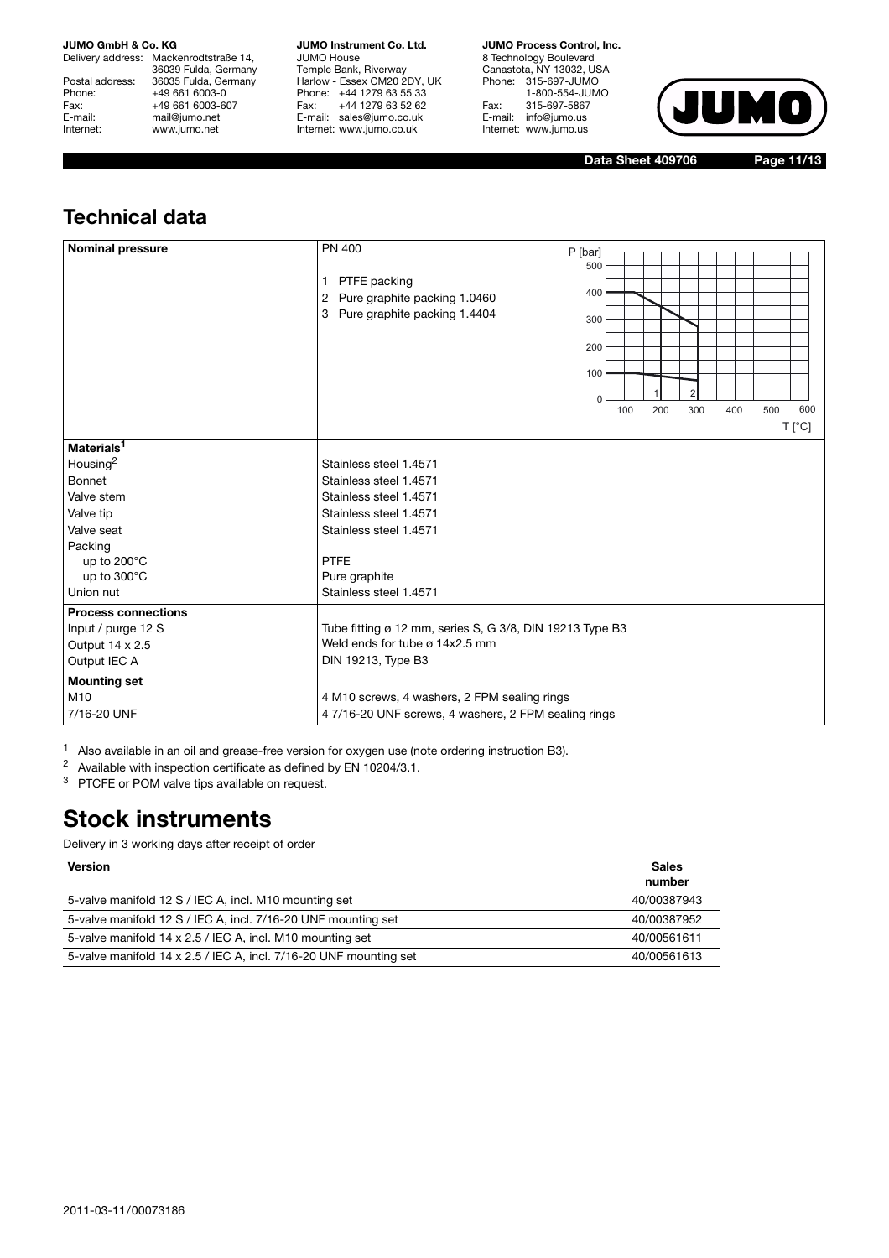Delivery address: Mackenrodtstraße 14, 36039 Fulda, Germany Postal address: 36035 Fulda, Germany<br>Phone: +49 661 6003-0 Phone: +49 661 6003-0<br>Fax: +49 661 6003-6 Fax: +49 661 6003-607<br>
E-mail: +49 661 6003-607 E-mail: mail@jumo.net<br>
Internet: www.jumo.net www.jumo.net

**JUMO Instrument Co. Ltd.** JUMO House Temple Bank, Riverway Harlow - Essex CM20 2DY, UK Phone: +44 1279 63 55 33 Fax: +44 1279 63 52 62 E-mail: sales@jumo.co.uk Internet: www.jumo.co.uk

**JUMO Process Control, Inc.**

8 Technology Boulevard Canastota, NY 13032, USA Phone: 315-697-JUMO 1-800-554-JUMO Fax: 315-697-5867<br>E-mail: info@jumo.us info@jumo.us Internet: www.jumo.us



**Data Sheet 409706 Page 11/13**

## **Technical data**

| 2 Pure graphite packing 1.0460<br>Pure graphite packing 1.4404<br>3                                                                                                                      |           | 200                                                                                                                                         | 300 | 400 | 500            | 600<br>$T[^{\circ}C]$ |
|------------------------------------------------------------------------------------------------------------------------------------------------------------------------------------------|-----------|---------------------------------------------------------------------------------------------------------------------------------------------|-----|-----|----------------|-----------------------|
| Stainless steel 1.4571<br>Stainless steel 1.4571<br>Stainless steel 1.4571<br>Stainless steel 1.4571<br>Stainless steel 1.4571<br><b>PTFE</b><br>Pure graphite<br>Stainless steel 1.4571 |           |                                                                                                                                             |     |     |                |                       |
| Weld ends for tube ø 14x2.5 mm<br>DIN 19213, Type B3<br>4 M10 screws, 4 washers, 2 FPM sealing rings                                                                                     |           |                                                                                                                                             |     |     |                |                       |
|                                                                                                                                                                                          | $\bigcap$ | 400<br>300<br>200<br>100<br>Tube fitting ø 12 mm, series S, G 3/8, DIN 19213 Type B3<br>47/16-20 UNF screws, 4 washers, 2 FPM sealing rings | 100 |     | 1 PTFE packing |                       |

<sup>1</sup> Also available in an oil and grease-free version for oxygen use (note ordering instruction B3).

<sup>2</sup> Available with inspection certificate as defined by EN 10204/3.1.

<sup>3</sup> PTCFE or POM valve tips available on request.

## **Stock instruments**

| <b>Version</b>                                                    | <b>Sales</b><br>number |
|-------------------------------------------------------------------|------------------------|
| 5-valve manifold 12 S / IEC A, incl. M10 mounting set             | 40/00387943            |
| 5-valve manifold 12 S / IEC A, incl. 7/16-20 UNF mounting set     | 40/00387952            |
| 5-valve manifold 14 x 2.5 / IEC A, incl. M10 mounting set         | 40/00561611            |
| 5-valve manifold 14 x 2.5 / IEC A, incl. 7/16-20 UNF mounting set | 40/00561613            |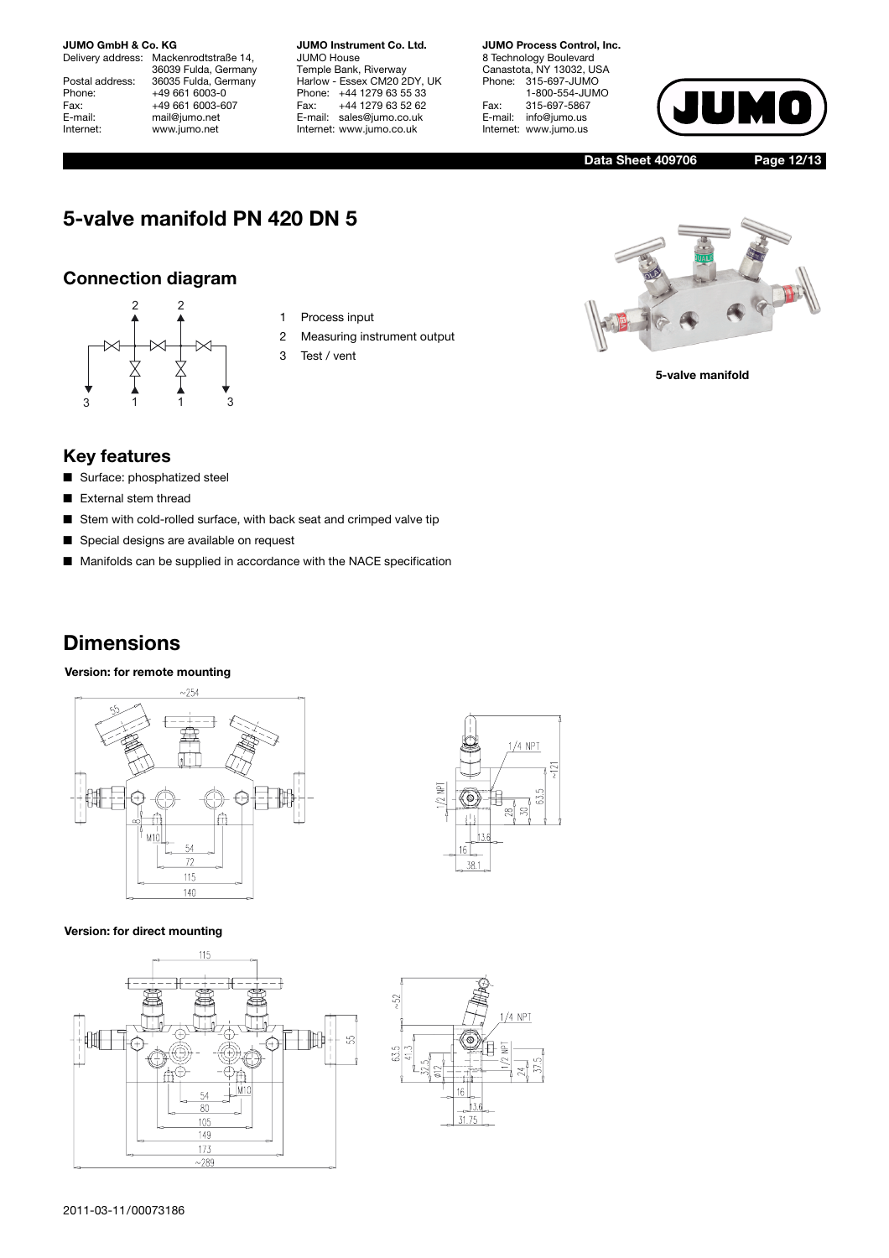Delivery address: Mackenrodtstraße 14, 36039 Fulda, Germany Postal address: 36035 Fulda, Germany<br>Phone: +49 661 6003-0 Phone: +49 661 6003-0<br>Fax: +49 661 6003-6 Fax: +49 661 6003-607<br>
E-mail: +49 661 6003-607 E-mail: mail@jumo.net<br>
Internet: www.jumo.net www.jumo.net

**JUMO Instrument Co. Ltd.** JUMO House Temple Bank, Riverway Harlow - Essex CM20 2DY, UK Phone: +44 1279 63 55 33<br>Fax: +44 1279 63 52 62 Fax: +44 1279 63 52 62 E-mail: sales@jumo.co.uk Internet: www.jumo.co.uk

**JUMO Process Control, Inc.**

8 Technology Boulevard Canastota, NY 13032, USA Phone: 315-697-JUMO 1-800-554-JUMO Fax: 315-697-5867<br>E-mail: info@jumo.us info@jumo.us Internet: www.jumo.us



**Data Sheet 409706 Page 12/13**

## **5-valve manifold PN 420 DN 5**

### **Connection diagram**



- 1 Process input
- 2 Measuring instrument output
- 3 Test / vent



**5-valve manifold**

### **Key features**

- Surface: phosphatized steel
- External stem thread
- Stem with cold-rolled surface, with back seat and crimped valve tip
- Special designs are available on request
- Manifolds can be supplied in accordance with the NACE specification

## **Dimensions**

**Version: for remote mounting**







![](_page_11_Figure_27.jpeg)

![](_page_11_Figure_28.jpeg)